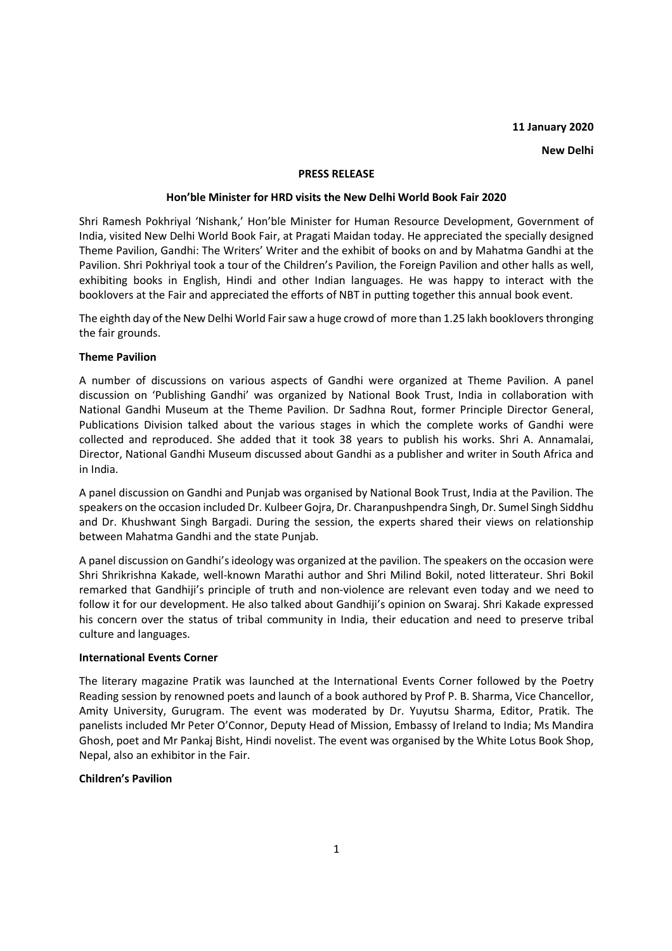# **11 January 2020**

# **New Delhi**

## **PRESS RELEASE**

## **Hon'ble Minister for HRD visits the New Delhi World Book Fair 2020**

Shri Ramesh Pokhriyal 'Nishank,' Hon'ble Minister for Human Resource Development, Government of India, visited New Delhi World Book Fair, at Pragati Maidan today. He appreciated the specially designed Theme Pavilion, Gandhi: The Writers' Writer and the exhibit of books on and by Mahatma Gandhi at the Pavilion. Shri Pokhriyal took a tour of the Children's Pavilion, the Foreign Pavilion and other halls as well, exhibiting books in English, Hindi and other Indian languages. He was happy to interact with the booklovers at the Fair and appreciated the efforts of NBT in putting together this annual book event.

The eighth day of the New Delhi World Fair saw a huge crowd of more than 1.25 lakh booklovers thronging the fair grounds.

# **Theme Pavilion**

A number of discussions on various aspects of Gandhi were organized at Theme Pavilion. A panel discussion on 'Publishing Gandhi' was organized by National Book Trust, India in collaboration with National Gandhi Museum at the Theme Pavilion. Dr Sadhna Rout, former Principle Director General, Publications Division talked about the various stages in which the complete works of Gandhi were collected and reproduced. She added that it took 38 years to publish his works. Shri A. Annamalai, Director, National Gandhi Museum discussed about Gandhi as a publisher and writer in South Africa and in India.

A panel discussion on Gandhi and Punjab was organised by National Book Trust, India at the Pavilion. The speakers on the occasion included Dr. Kulbeer Gojra, Dr. Charanpushpendra Singh, Dr. Sumel Singh Siddhu and Dr. Khushwant Singh Bargadi. During the session, the experts shared their views on relationship between Mahatma Gandhi and the state Punjab.

A panel discussion on Gandhi's ideology was organized at the pavilion. The speakers on the occasion were Shri Shrikrishna Kakade, well-known Marathi author and Shri Milind Bokil, noted litterateur. Shri Bokil remarked that Gandhiji's principle of truth and non-violence are relevant even today and we need to follow it for our development. He also talked about Gandhiji's opinion on Swaraj. Shri Kakade expressed his concern over the status of tribal community in India, their education and need to preserve tribal culture and languages.

#### **International Events Corner**

The literary magazine Pratik was launched at the International Events Corner followed by the Poetry Reading session by renowned poets and launch of a book authored by Prof P. B. Sharma, Vice Chancellor, Amity University, Gurugram. The event was moderated by Dr. Yuyutsu Sharma, Editor, Pratik. The panelists included Mr Peter O'Connor, Deputy Head of Mission, Embassy of Ireland to India; Ms Mandira Ghosh, poet and Mr Pankaj Bisht, Hindi novelist. The event was organised by the White Lotus Book Shop, Nepal, also an exhibitor in the Fair.

# **Children's Pavilion**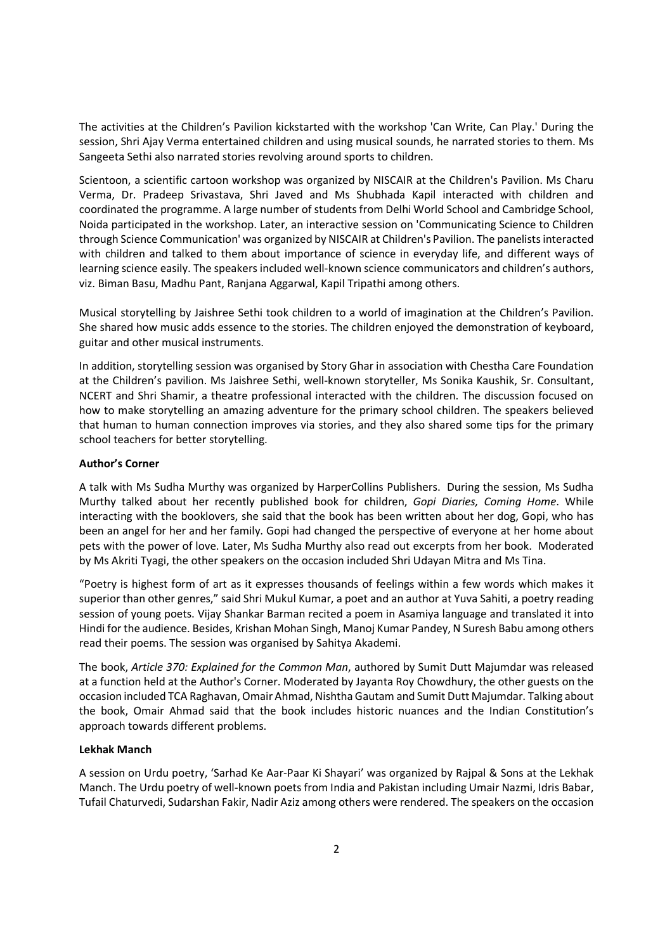The activities at the Children's Pavilion kickstarted with the workshop 'Can Write, Can Play.' During the session, Shri Ajay Verma entertained children and using musical sounds, he narrated stories to them. Ms Sangeeta Sethi also narrated stories revolving around sports to children.

Scientoon, a scientific cartoon workshop was organized by NISCAIR at the Children's Pavilion. Ms Charu Verma, Dr. Pradeep Srivastava, Shri Javed and Ms Shubhada Kapil interacted with children and coordinated the programme. A large number of students from Delhi World School and Cambridge School, Noida participated in the workshop. Later, an interactive session on 'Communicating Science to Children through Science Communication' was organized by NISCAIR at Children's Pavilion. The panelists interacted with children and talked to them about importance of science in everyday life, and different ways of learning science easily. The speakers included well-known science communicators and children's authors, viz. Biman Basu, Madhu Pant, Ranjana Aggarwal, Kapil Tripathi among others.

Musical storytelling by Jaishree Sethi took children to a world of imagination at the Children's Pavilion. She shared how music adds essence to the stories. The children enjoyed the demonstration of keyboard, guitar and other musical instruments.

In addition, storytelling session was organised by Story Ghar in association with Chestha Care Foundation at the Children's pavilion. Ms Jaishree Sethi, well-known storyteller, Ms Sonika Kaushik, Sr. Consultant, NCERT and Shri Shamir, a theatre professional interacted with the children. The discussion focused on how to make storytelling an amazing adventure for the primary school children. The speakers believed that human to human connection improves via stories, and they also shared some tips for the primary school teachers for better storytelling.

# **Author's Corner**

A talk with Ms Sudha Murthy was organized by HarperCollins Publishers. During the session, Ms Sudha Murthy talked about her recently published book for children, *Gopi Diaries, Coming Home*. While interacting with the booklovers, she said that the book has been written about her dog, Gopi, who has been an angel for her and her family. Gopi had changed the perspective of everyone at her home about pets with the power of love. Later, Ms Sudha Murthy also read out excerpts from her book. Moderated by Ms Akriti Tyagi, the other speakers on the occasion included Shri Udayan Mitra and Ms Tina.

"Poetry is highest form of art as it expresses thousands of feelings within a few words which makes it superior than other genres," said Shri Mukul Kumar, a poet and an author at Yuva Sahiti, a poetry reading session of young poets. Vijay Shankar Barman recited a poem in Asamiya language and translated it into Hindi for the audience. Besides, Krishan Mohan Singh, Manoj Kumar Pandey, N Suresh Babu among others read their poems. The session was organised by Sahitya Akademi.

The book, *Article 370: Explained for the Common Man*, authored by Sumit Dutt Majumdar was released at a function held at the Author's Corner. Moderated by Jayanta Roy Chowdhury, the other guests on the occasion included TCA Raghavan, Omair Ahmad, Nishtha Gautam and Sumit Dutt Majumdar. Talking about the book, Omair Ahmad said that the book includes historic nuances and the Indian Constitution's approach towards different problems.

# **Lekhak Manch**

A session on Urdu poetry, 'Sarhad Ke Aar-Paar Ki Shayari' was organized by Rajpal & Sons at the Lekhak Manch. The Urdu poetry of well-known poets from India and Pakistan including Umair Nazmi, Idris Babar, Tufail Chaturvedi, Sudarshan Fakir, Nadir Aziz among others were rendered. The speakers on the occasion